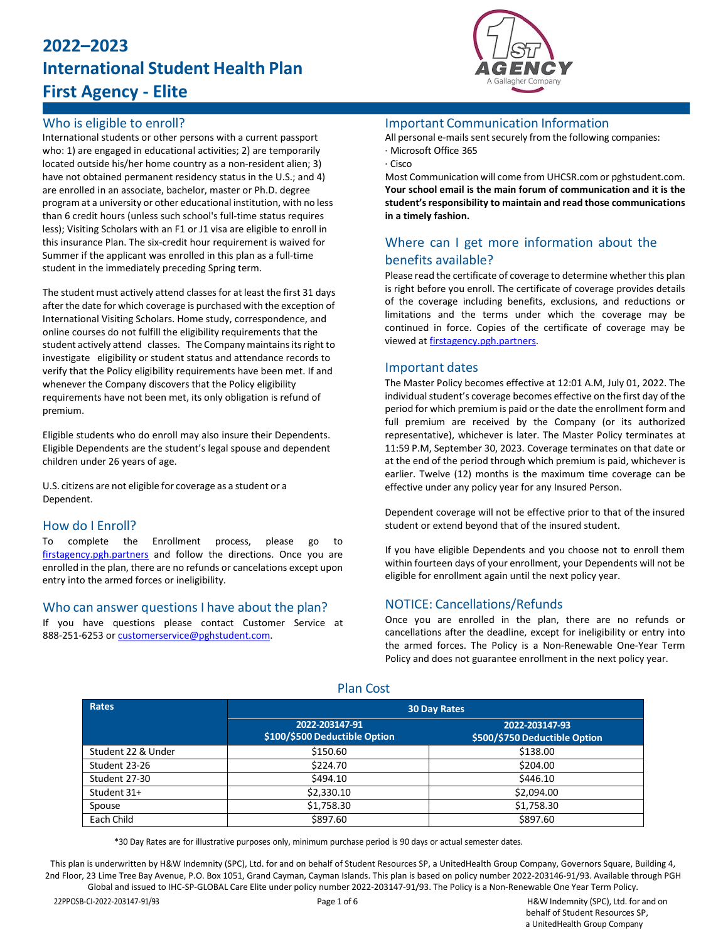# **2022–2023 International Student Health Plan First Agency - Elite**



## Who is eligible to enroll?

International students or other persons with a current passport who: 1) are engaged in educational activities; 2) are temporarily located outside his/her home country as a non-resident alien; 3) have not obtained permanent residency status in the U.S.; and 4) are enrolled in an associate, bachelor, master or Ph.D. degree program at a university or other educational institution, with no less than 6 credit hours (unless such school's full-time status requires less); Visiting Scholars with an F1 or J1 visa are eligible to enroll in this insurance Plan. The six-credit hour requirement is waived for Summer if the applicant was enrolled in this plan as a full-time student in the immediately preceding Spring term.

The student must actively attend classes for at least the first 31 days after the date for which coverage is purchased with the exception of International Visiting Scholars. Home study, correspondence, and online courses do not fulfill the eligibility requirements that the student actively attend classes. The Company maintains its right to investigate eligibility or student status and attendance records to verify that the Policy eligibility requirements have been met. If and whenever the Company discovers that the Policy eligibility requirements have not been met, its only obligation is refund of premium.

Eligible students who do enroll may also insure their Dependents. Eligible Dependents are the student's legal spouse and dependent children under 26 years of age.

U.S. citizens are not eligible for coverage as a student or a Dependent.

## How do I Enroll?

To complete the Enrollment process, please go to [firstagency.pgh.partners](https://firstagency.pgh.partners/) and follow the directions. Once you are enrolled in the plan, there are no refunds or cancelations except upon entry into the armed forces or ineligibility.

### Who can answer questions I have about the plan?

If you have questions please contact Customer Service at 888-251-6253 o[r customerservice@pghstudent.com.](mailto:customerservice@pghstudent.com)

### Important Communication Information

All personal e-mails sent securely from the following companies: · Microsoft Office 365

· Cisco

Most Communication will come from UHCSR.com or pghstudent.com. **Your school email is the main forum of communication and it is the student'sresponsibility to maintain and read those communications in a timely fashion.**

## Where can I get more information about the benefits available?

Please read the certificate of coverage to determine whether this plan is right before you enroll. The certificate of coverage provides details of the coverage including benefits, exclusions, and reductions or limitations and the terms under which the coverage may be continued in force. Copies of the certificate of coverage may be viewed a[t firstagency.pgh.partners.](https://firstagency.pgh.partners/)

### Important dates

The Master Policy becomes effective at 12:01 A.M, July 01, 2022. The individual student's coverage becomes effective on the first day of the period for which premium is paid or the date the enrollment form and full premium are received by the Company (or its authorized representative), whichever is later. The Master Policy terminates at 11:59 P.M, September 30, 2023. Coverage terminates on that date or at the end of the period through which premium is paid, whichever is earlier. Twelve (12) months is the maximum time coverage can be effective under any policy year for any Insured Person.

Dependent coverage will not be effective prior to that of the insured student or extend beyond that of the insured student.

If you have eligible Dependents and you choose not to enroll them within fourteen days of your enrollment, your Dependents will not be eligible for enrollment again until the next policy year.

## NOTICE: Cancellations/Refunds

Once you are enrolled in the plan, there are no refunds or cancellations after the deadline, except for ineligibility or entry into the armed forces. The Policy is a Non-Renewable One-Year Term Policy and does not guarantee enrollment in the next policy year.

| Rates              | <b>30 Day Rates</b>                             |                                                 |  |
|--------------------|-------------------------------------------------|-------------------------------------------------|--|
|                    | 2022-203147-91<br>\$100/\$500 Deductible Option | 2022-203147-93<br>\$500/\$750 Deductible Option |  |
| Student 22 & Under | \$150.60                                        | \$138.00                                        |  |
| Student 23-26      | \$224.70                                        | \$204.00                                        |  |
| Student 27-30      | \$494.10                                        | \$446.10                                        |  |
| Student 31+        | \$2,330.10                                      | \$2,094.00                                      |  |
| Spouse             | \$1,758.30                                      | \$1,758.30                                      |  |
| Each Child         | \$897.60                                        | \$897.60                                        |  |

Plan Cost

\*30 Day Rates are for illustrative purposes only, minimum purchase period is 90 days or actual semester dates.

This plan is underwritten by H&W Indemnity (SPC), Ltd. for and on behalf of Student Resources SP, a UnitedHealth Group Company, Governors Square, Building 4, 2nd Floor, 23 Lime Tree Bay Avenue, P.O. Box 1051, Grand Cayman, Cayman Islands. This plan is based on policy number 2022-203146-91/93. Available through PGH Global and issued to IHC-SP-GLOBAL Care Elite under policy number 2022-203147-91/93. The Policy is a Non-Renewable One Year Term Policy.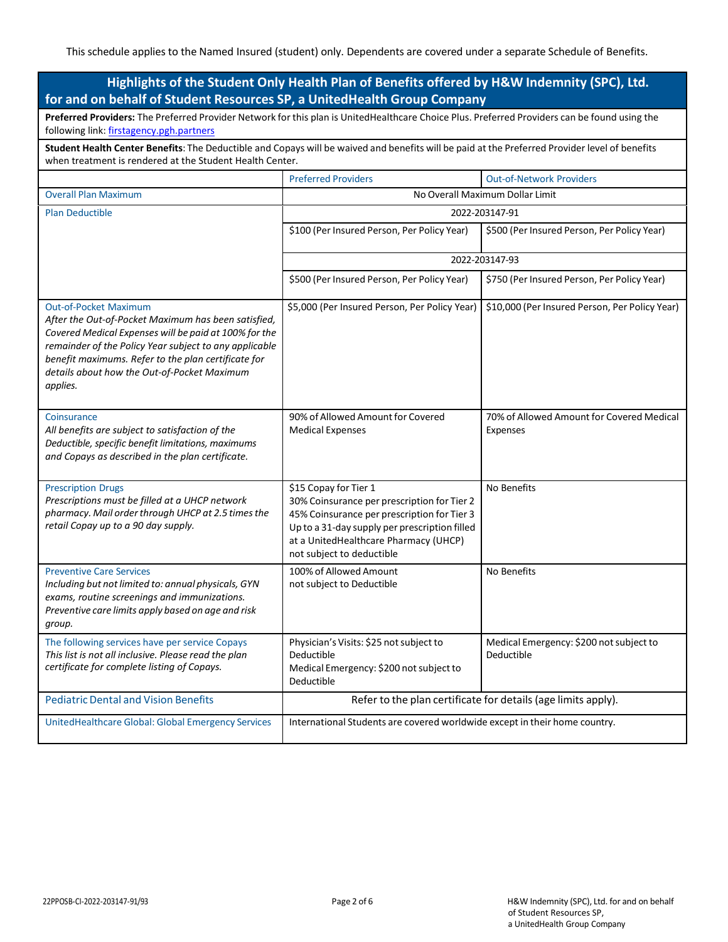| Highlights of the Student Only Health Plan of Benefits offered by H&W Indemnity (SPC), Ltd.<br>for and on behalf of Student Resources SP, a UnitedHealth Group Company                                                                                                                                                   |                                                                                                                                                                                                                                            |                                                       |  |  |
|--------------------------------------------------------------------------------------------------------------------------------------------------------------------------------------------------------------------------------------------------------------------------------------------------------------------------|--------------------------------------------------------------------------------------------------------------------------------------------------------------------------------------------------------------------------------------------|-------------------------------------------------------|--|--|
| Preferred Providers: The Preferred Provider Network for this plan is UnitedHealthcare Choice Plus. Preferred Providers can be found using the<br>following link: firstagency.pgh.partners                                                                                                                                |                                                                                                                                                                                                                                            |                                                       |  |  |
| Student Health Center Benefits: The Deductible and Copays will be waived and benefits will be paid at the Preferred Provider level of benefits<br>when treatment is rendered at the Student Health Center.                                                                                                               |                                                                                                                                                                                                                                            |                                                       |  |  |
|                                                                                                                                                                                                                                                                                                                          | <b>Preferred Providers</b>                                                                                                                                                                                                                 | <b>Out-of-Network Providers</b>                       |  |  |
| <b>Overall Plan Maximum</b>                                                                                                                                                                                                                                                                                              | No Overall Maximum Dollar Limit                                                                                                                                                                                                            |                                                       |  |  |
| <b>Plan Deductible</b>                                                                                                                                                                                                                                                                                                   | 2022-203147-91                                                                                                                                                                                                                             |                                                       |  |  |
|                                                                                                                                                                                                                                                                                                                          | \$100 (Per Insured Person, Per Policy Year)                                                                                                                                                                                                | \$500 (Per Insured Person, Per Policy Year)           |  |  |
|                                                                                                                                                                                                                                                                                                                          | 2022-203147-93                                                                                                                                                                                                                             |                                                       |  |  |
|                                                                                                                                                                                                                                                                                                                          | \$500 (Per Insured Person, Per Policy Year)                                                                                                                                                                                                | \$750 (Per Insured Person, Per Policy Year)           |  |  |
| <b>Out-of-Pocket Maximum</b><br>After the Out-of-Pocket Maximum has been satisfied,<br>Covered Medical Expenses will be paid at 100% for the<br>remainder of the Policy Year subject to any applicable<br>benefit maximums. Refer to the plan certificate for<br>details about how the Out-of-Pocket Maximum<br>applies. | \$5,000 (Per Insured Person, Per Policy Year)                                                                                                                                                                                              | \$10,000 (Per Insured Person, Per Policy Year)        |  |  |
| Coinsurance<br>All benefits are subject to satisfaction of the<br>Deductible, specific benefit limitations, maximums<br>and Copays as described in the plan certificate.                                                                                                                                                 | 90% of Allowed Amount for Covered<br><b>Medical Expenses</b>                                                                                                                                                                               | 70% of Allowed Amount for Covered Medical<br>Expenses |  |  |
| <b>Prescription Drugs</b><br>Prescriptions must be filled at a UHCP network<br>pharmacy. Mail order through UHCP at 2.5 times the<br>retail Copay up to a 90 day supply.                                                                                                                                                 | \$15 Copay for Tier 1<br>30% Coinsurance per prescription for Tier 2<br>45% Coinsurance per prescription for Tier 3<br>Up to a 31-day supply per prescription filled<br>at a UnitedHealthcare Pharmacy (UHCP)<br>not subject to deductible | No Benefits                                           |  |  |
| <b>Preventive Care Services</b><br>Including but not limited to: annual physicals, GYN<br>exams, routine screenings and immunizations.<br>Preventive care limits apply based on age and risk<br>group.                                                                                                                   | 100% of Allowed Amount<br>not subject to Deductible                                                                                                                                                                                        | No Benefits                                           |  |  |
| The following services have per service Copays<br>This list is not all inclusive. Please read the plan<br>certificate for complete listing of Copays.                                                                                                                                                                    | Physician's Visits: \$25 not subject to<br>Deductible<br>Medical Emergency: \$200 not subject to<br>Deductible                                                                                                                             | Medical Emergency: \$200 not subject to<br>Deductible |  |  |
| <b>Pediatric Dental and Vision Benefits</b>                                                                                                                                                                                                                                                                              | Refer to the plan certificate for details (age limits apply).                                                                                                                                                                              |                                                       |  |  |
| UnitedHealthcare Global: Global Emergency Services                                                                                                                                                                                                                                                                       | International Students are covered worldwide except in their home country.                                                                                                                                                                 |                                                       |  |  |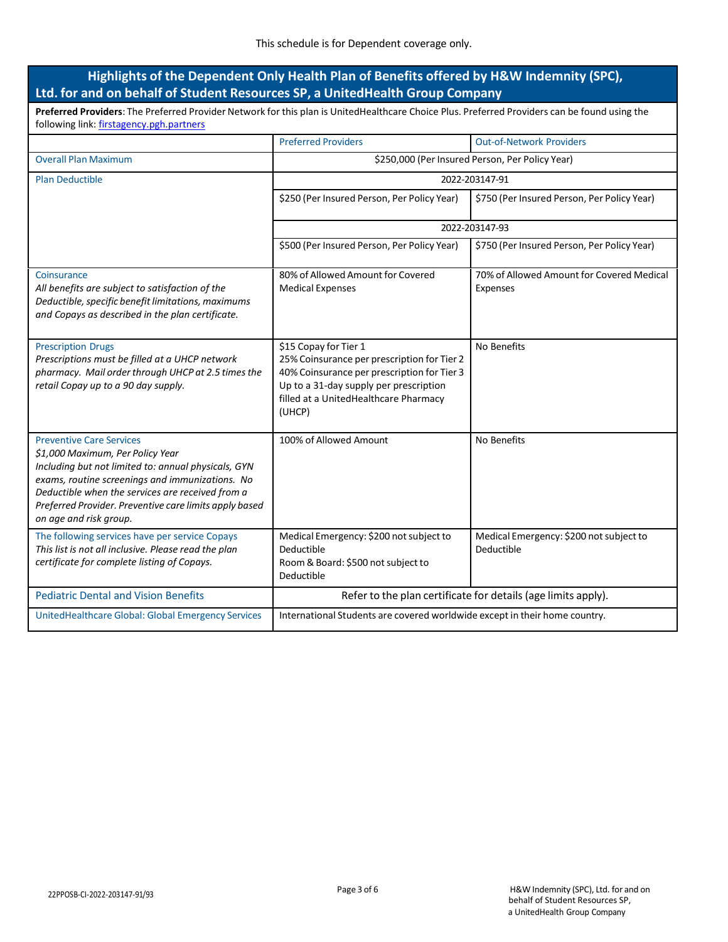## **Highlights of the Dependent Only Health Plan of Benefits offered by H&W Indemnity (SPC), Ltd. for and on behalf of Student Resources SP, a UnitedHealth Group Company**

**Preferred Providers**: The Preferred Provider Network for this plan is UnitedHealthcare Choice Plus. Preferred Providers can be found using the following link: [firstagency.pgh.partners](https://firstagency.pgh.partners/)

|                                                                                                                                                                                                                                                                                                                       | <b>Preferred Providers</b>                                                                                                                                                                                       | <b>Out-of-Network Providers</b>                       |  |
|-----------------------------------------------------------------------------------------------------------------------------------------------------------------------------------------------------------------------------------------------------------------------------------------------------------------------|------------------------------------------------------------------------------------------------------------------------------------------------------------------------------------------------------------------|-------------------------------------------------------|--|
| <b>Overall Plan Maximum</b>                                                                                                                                                                                                                                                                                           | \$250,000 (Per Insured Person, Per Policy Year)                                                                                                                                                                  |                                                       |  |
| <b>Plan Deductible</b>                                                                                                                                                                                                                                                                                                | 2022-203147-91                                                                                                                                                                                                   |                                                       |  |
|                                                                                                                                                                                                                                                                                                                       | \$250 (Per Insured Person, Per Policy Year)                                                                                                                                                                      | \$750 (Per Insured Person, Per Policy Year)           |  |
|                                                                                                                                                                                                                                                                                                                       | 2022-203147-93                                                                                                                                                                                                   |                                                       |  |
|                                                                                                                                                                                                                                                                                                                       | \$500 (Per Insured Person, Per Policy Year)                                                                                                                                                                      | \$750 (Per Insured Person, Per Policy Year)           |  |
| Coinsurance<br>All benefits are subject to satisfaction of the<br>Deductible, specific benefit limitations, maximums<br>and Copays as described in the plan certificate.                                                                                                                                              | 80% of Allowed Amount for Covered<br><b>Medical Expenses</b>                                                                                                                                                     | 70% of Allowed Amount for Covered Medical<br>Expenses |  |
| <b>Prescription Drugs</b><br>Prescriptions must be filled at a UHCP network<br>pharmacy. Mail order through UHCP at 2.5 times the<br>retail Copay up to a 90 day supply.                                                                                                                                              | \$15 Copay for Tier 1<br>25% Coinsurance per prescription for Tier 2<br>40% Coinsurance per prescription for Tier 3<br>Up to a 31-day supply per prescription<br>filled at a UnitedHealthcare Pharmacy<br>(UHCP) | No Benefits                                           |  |
| <b>Preventive Care Services</b><br>\$1,000 Maximum, Per Policy Year<br>Including but not limited to: annual physicals, GYN<br>exams, routine screenings and immunizations. No<br>Deductible when the services are received from a<br>Preferred Provider. Preventive care limits apply based<br>on age and risk group. | 100% of Allowed Amount                                                                                                                                                                                           | No Benefits                                           |  |
| The following services have per service Copays<br>This list is not all inclusive. Please read the plan<br>certificate for complete listing of Copays.                                                                                                                                                                 | Medical Emergency: \$200 not subject to<br>Deductible<br>Room & Board: \$500 not subject to<br>Deductible                                                                                                        | Medical Emergency: \$200 not subject to<br>Deductible |  |
| <b>Pediatric Dental and Vision Benefits</b>                                                                                                                                                                                                                                                                           | Refer to the plan certificate for details (age limits apply).                                                                                                                                                    |                                                       |  |
| UnitedHealthcare Global: Global Emergency Services                                                                                                                                                                                                                                                                    | International Students are covered worldwide except in their home country.                                                                                                                                       |                                                       |  |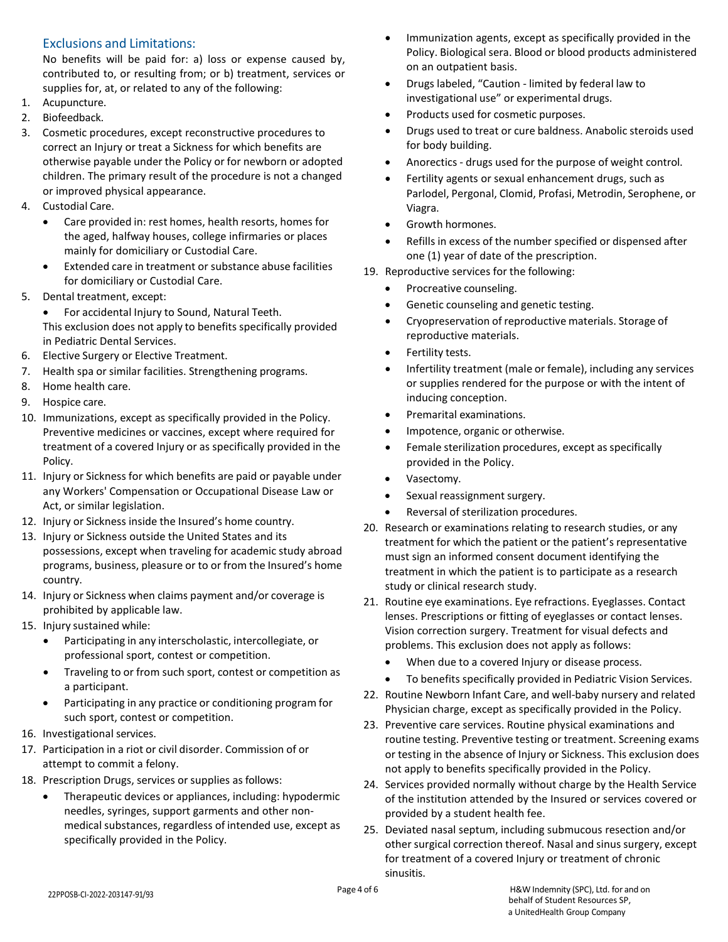## Exclusions and Limitations:

No benefits will be paid for: a) loss or expense caused by, contributed to, or resulting from; or b) treatment, services or supplies for, at, or related to any of the following:

- 1. Acupuncture.
- 2. Biofeedback.
- 3. Cosmetic procedures, except reconstructive procedures to correct an Injury or treat a Sickness for which benefits are otherwise payable under the Policy or for newborn or adopted children. The primary result of the procedure is not a changed or improved physical appearance.
- 4. Custodial Care.
	- Care provided in: rest homes, health resorts, homes for the aged, halfway houses, college infirmaries or places mainly for domiciliary or Custodial Care.
	- Extended care in treatment or substance abuse facilities for domiciliary or Custodial Care.
- 5. Dental treatment, except:
	- For accidental Injury to Sound, Natural Teeth. This exclusion does not apply to benefits specifically provided in Pediatric Dental Services.
- 6. Elective Surgery or Elective Treatment.
- 7. Health spa or similar facilities. Strengthening programs.
- 8. Home health care.
- 9. Hospice care.
- 10. Immunizations, except as specifically provided in the Policy. Preventive medicines or vaccines, except where required for treatment of a covered Injury or as specifically provided in the Policy.
- 11. Injury or Sickness for which benefits are paid or payable under any Workers' Compensation or Occupational Disease Law or Act, or similar legislation.
- 12. Injury or Sickness inside the Insured's home country.
- 13. Injury or Sickness outside the United States and its possessions, except when traveling for academic study abroad programs, business, pleasure or to or from the Insured's home country.
- 14. Injury or Sickness when claims payment and/or coverage is prohibited by applicable law.
- 15. Injury sustained while:
	- Participating in any interscholastic, intercollegiate, or professional sport, contest or competition.
	- Traveling to or from such sport, contest or competition as a participant.
	- Participating in any practice or conditioning program for such sport, contest or competition.
- 16. Investigational services.
- 17. Participation in a riot or civil disorder. Commission of or attempt to commit a felony.
- 18. Prescription Drugs, services or supplies as follows:
	- Therapeutic devices or appliances, including: hypodermic needles, syringes, support garments and other nonmedical substances, regardless of intended use, except as specifically provided in the Policy.
- Immunization agents, except as specifically provided in the Policy. Biological sera. Blood or blood products administered on an outpatient basis.
- Drugs labeled, "Caution limited by federal law to investigational use" or experimental drugs.
- Products used for cosmetic purposes.
- Drugs used to treat or cure baldness. Anabolic steroids used for body building.
- Anorectics drugs used for the purpose of weight control.
- Fertility agents or sexual enhancement drugs, such as Parlodel, Pergonal, Clomid, Profasi, Metrodin, Serophene, or Viagra.
- Growth hormones.
- Refills in excess of the number specified or dispensed after one (1) year of date of the prescription.
- 19. Reproductive services for the following:
	- Procreative counseling.
	- Genetic counseling and genetic testing.
	- Cryopreservation of reproductive materials. Storage of reproductive materials.
	- Fertility tests.
	- Infertility treatment (male or female), including any services or supplies rendered for the purpose or with the intent of inducing conception.
	- Premarital examinations.
	- Impotence, organic or otherwise.
	- Female sterilization procedures, except as specifically provided in the Policy.
	- Vasectomy.
	- Sexual reassignment surgery.
	- Reversal of sterilization procedures.
- 20. Research or examinations relating to research studies, or any treatment for which the patient or the patient's representative must sign an informed consent document identifying the treatment in which the patient is to participate as a research study or clinical research study.
- 21. Routine eye examinations. Eye refractions. Eyeglasses. Contact lenses. Prescriptions or fitting of eyeglasses or contact lenses. Vision correction surgery. Treatment for visual defects and problems. This exclusion does not apply as follows:
	- When due to a covered Injury or disease process.
	- To benefits specifically provided in Pediatric Vision Services.
- 22. Routine Newborn Infant Care, and well-baby nursery and related Physician charge, except as specifically provided in the Policy.
- 23. Preventive care services. Routine physical examinations and routine testing. Preventive testing or treatment. Screening exams or testing in the absence of Injury or Sickness. This exclusion does not apply to benefits specifically provided in the Policy.
- 24. Services provided normally without charge by the Health Service of the institution attended by the Insured or services covered or provided by a student health fee.
- 25. Deviated nasal septum, including submucous resection and/or other surgical correction thereof. Nasal and sinus surgery, except for treatment of a covered Injury or treatment of chronic sinusitis.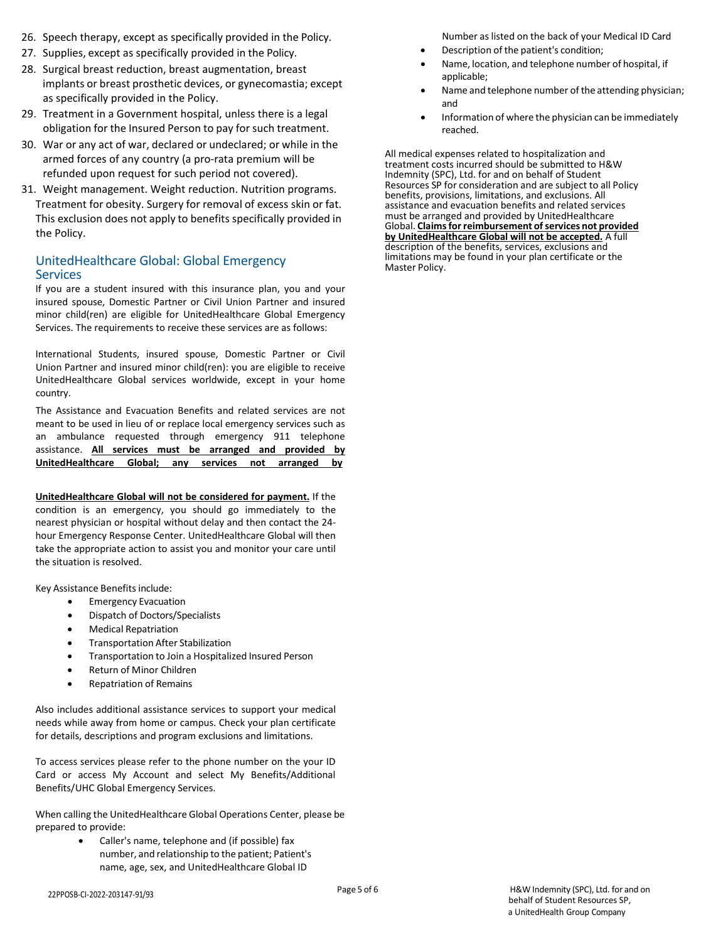- 26. Speech therapy, except as specifically provided in the Policy.
- 27. Supplies, except as specifically provided in the Policy.
- 28. Surgical breast reduction, breast augmentation, breast implants or breast prosthetic devices, or gynecomastia; except as specifically provided in the Policy.
- 29. Treatment in a Government hospital, unless there is a legal obligation for the Insured Person to pay for such treatment.
- 30. War or any act of war, declared or undeclared; or while in the armed forces of any country (a pro-rata premium will be refunded upon request for such period not covered).
- 31. Weight management. Weight reduction. Nutrition programs. Treatment for obesity. Surgery for removal of excess skin or fat. This exclusion does not apply to benefits specifically provided in the Policy.

## UnitedHealthcare Global: Global Emergency **Services**

If you are a student insured with this insurance plan, you and your insured spouse, Domestic Partner or Civil Union Partner and insured minor child(ren) are eligible for UnitedHealthcare Global Emergency Services. The requirements to receive these services are as follows:

International Students, insured spouse, Domestic Partner or Civil Union Partner and insured minor child(ren): you are eligible to receive UnitedHealthcare Global services worldwide, except in your home country.

The Assistance and Evacuation Benefits and related services are not meant to be used in lieu of or replace local emergency services such as an ambulance requested through emergency 911 telephone assistance. **All services must be arranged and provided by UnitedHealthcare Global; any services not arranged by**

**UnitedHealthcare Global will not be considered for payment.** If the condition is an emergency, you should go immediately to the nearest physician or hospital without delay and then contact the 24 hour Emergency Response Center. UnitedHealthcare Global will then take the appropriate action to assist you and monitor your care until the situation is resolved.

Key Assistance Benefits include:

- Emergency Evacuation
- Dispatch of Doctors/Specialists
- Medical Repatriation
- Transportation After Stabilization
- Transportation to Join a Hospitalized Insured Person
- Return of Minor Children
- Repatriation of Remains

Also includes additional assistance services to support your medical needs while away from home or campus. Check your plan certificate for details, descriptions and program exclusions and limitations.

To access services please refer to the phone number on the your ID Card or access My Account and select My Benefits/Additional Benefits/UHC Global Emergency Services.

When calling the UnitedHealthcare Global Operations Center, please be prepared to provide:

> • Caller's name, telephone and (if possible) fax number, and relationship to the patient; Patient's name, age, sex, and UnitedHealthcare Global ID

22PPOSB-CI-2022-203147-91/93

Number as listed on the back of your Medical ID Card

- Description of the patient's condition;
- Name, location, and telephone number of hospital, if applicable;
- Name and telephone number of the attending physician; and
- Information of where the physician can be immediately reached.

All medical expenses related to hospitalization and treatment costs incurred should be submitted to H&W Indemnity (SPC), Ltd. for and on behalf of Student Resources SP for consideration and are subject to all Policy benefits, provisions, limitations, and exclusions. All assistance and evacuation benefits and related services must be arranged and provided by UnitedHealthcare Global. **Claimsfor reimbursement ofservices not provided by UnitedHealthcare Global will not be accepted.** A full description of the benefits, services, exclusions and limitations may be found in your plan certificate or the Master Policy.